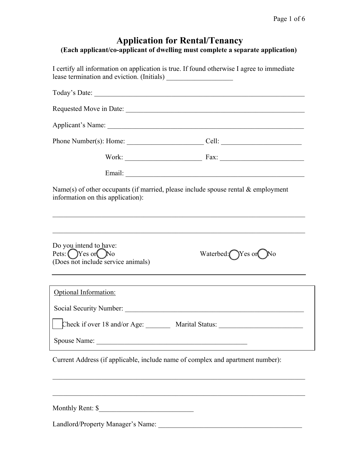# Application for Rental/Tenancy<br>(Each applicant/co-applicant of dwelling must complete a separate application)

I certify all information on application is true. If found otherwise I agree to immediate lease termination and eviction. (Initials)

|                                                                                                                                                                                                                                | Applicant's Name: 1988. Applicant expansion of the state of the state of the state of the state of the state of the state of the state of the state of the state of the state of the state of the state of the state of the st |
|--------------------------------------------------------------------------------------------------------------------------------------------------------------------------------------------------------------------------------|--------------------------------------------------------------------------------------------------------------------------------------------------------------------------------------------------------------------------------|
|                                                                                                                                                                                                                                | Phone Number(s): Home: $\qquad \qquad \qquad \text{Cell:}$                                                                                                                                                                     |
|                                                                                                                                                                                                                                |                                                                                                                                                                                                                                |
|                                                                                                                                                                                                                                |                                                                                                                                                                                                                                |
| information on this application):                                                                                                                                                                                              | Name(s) of other occupants (if married, please include spouse rental $\&$ employment                                                                                                                                           |
| Do you intend to have:<br>Pets: $\bigcirc$ Yes or $\bigcirc$ No<br>(Does not include service animals)                                                                                                                          | Waterbed: Yes or<br>- JNo                                                                                                                                                                                                      |
| Optional Information:                                                                                                                                                                                                          |                                                                                                                                                                                                                                |
| Social Security Number: 2000 Contract Contract Contract Contract Contract Contract Contract Contract Contract Contract Contract Contract Contract Contract Contract Contract Contract Contract Contract Contract Contract Cont |                                                                                                                                                                                                                                |
|                                                                                                                                                                                                                                | Check if over 18 and/or Age: Marital Status:                                                                                                                                                                                   |
| Spouse Name: Spouse Name:                                                                                                                                                                                                      |                                                                                                                                                                                                                                |
|                                                                                                                                                                                                                                | Current Address (if applicable, include name of complex and apartment number):                                                                                                                                                 |
|                                                                                                                                                                                                                                |                                                                                                                                                                                                                                |
|                                                                                                                                                                                                                                |                                                                                                                                                                                                                                |

Monthly Rent: \$\_\_\_\_\_\_\_\_\_\_\_\_\_\_\_\_\_\_\_\_\_\_\_\_\_\_\_

Landlord/Property Manager's Name: \_\_\_\_\_\_\_\_\_\_\_\_\_\_\_\_\_\_\_\_\_\_\_\_\_\_\_\_\_\_\_\_\_\_\_\_\_\_\_\_\_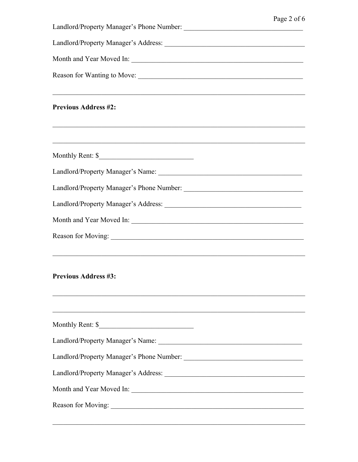|                                                                                            | Page 2 of 6 |
|--------------------------------------------------------------------------------------------|-------------|
|                                                                                            |             |
| Month and Year Moved In:                                                                   |             |
| Reason for Wanting to Move:                                                                |             |
| <u> 1989 - Johann Stoff, amerikansk politiker (d. 1989)</u><br><b>Previous Address #2:</b> |             |
|                                                                                            |             |
|                                                                                            |             |
|                                                                                            |             |
|                                                                                            |             |
|                                                                                            |             |
| <u> 1989 - Johann Stoff, amerikansk politiker (d. 1989)</u>                                |             |
| <b>Previous Address #3:</b>                                                                |             |
| Monthly Rent: \$                                                                           |             |
|                                                                                            |             |
|                                                                                            |             |
|                                                                                            |             |
| Month and Year Moved In:                                                                   |             |
|                                                                                            |             |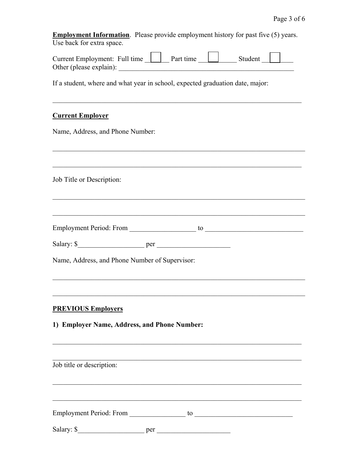|                           | <b>Employment Information</b> . Please provide employment history for past five (5) years. |
|---------------------------|--------------------------------------------------------------------------------------------|
| Use back for extra space. |                                                                                            |

| Current Employment: Full time | Part time | Student |  |
|-------------------------------|-----------|---------|--|
| Other (please explain):       |           |         |  |

If a student, where and what year in school, expected graduation date, major:

## **Current Employer**

Name, Address, and Phone Number:

Job Title or Description:

| <b>Employment Period: From</b> |  |
|--------------------------------|--|
|                                |  |

| Salar<br>$-$<br>nar<br>и<br>мΩ |  |
|--------------------------------|--|
|--------------------------------|--|

Name, Address, and Phone Number of Supervisor:

## **PREVIOUS Employers**

1) Employer Name, Address, and Phone Number:

Job title or description: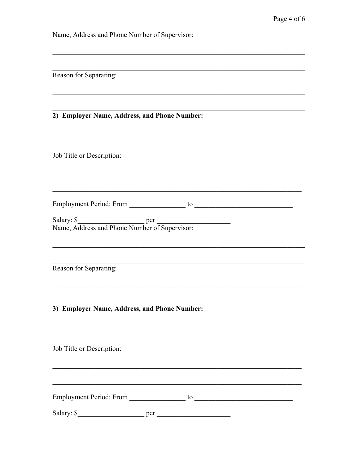Name, Address and Phone Number of Supervisor:

| Reason for Separating:                                      |
|-------------------------------------------------------------|
|                                                             |
| 2) Employer Name, Address, and Phone Number:                |
|                                                             |
| Job Title or Description:                                   |
|                                                             |
|                                                             |
| Salary: \$<br>Name, Address and Phone Number of Supervisor: |
|                                                             |
| Reason for Separating:                                      |
|                                                             |
| 3) Employer Name, Address, and Phone Number:                |
| Job Title or Description:                                   |
|                                                             |
|                                                             |
|                                                             |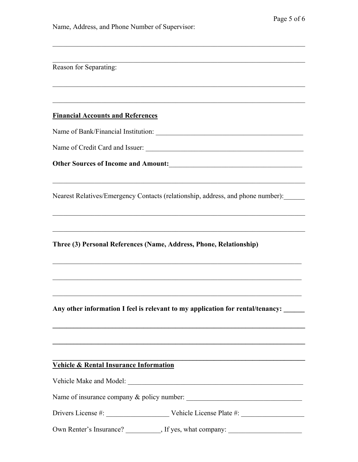| Reason for Separating:                            |                                                                                                                       |
|---------------------------------------------------|-----------------------------------------------------------------------------------------------------------------------|
|                                                   |                                                                                                                       |
|                                                   |                                                                                                                       |
| <b>Financial Accounts and References</b>          |                                                                                                                       |
|                                                   |                                                                                                                       |
|                                                   |                                                                                                                       |
|                                                   | Other Sources of Income and Amount:                                                                                   |
|                                                   |                                                                                                                       |
|                                                   | Nearest Relatives/Emergency Contacts (relationship, address, and phone number):                                       |
|                                                   |                                                                                                                       |
|                                                   |                                                                                                                       |
|                                                   | Three (3) Personal References (Name, Address, Phone, Relationship)                                                    |
|                                                   |                                                                                                                       |
|                                                   |                                                                                                                       |
|                                                   |                                                                                                                       |
|                                                   | Any other information I feel is relevant to my application for rental/tenancy: _____                                  |
|                                                   | <u> 1989 - Andrea Santa Alemania, amerikana amerikana amerikana amerikana amerikana amerikana amerikana amerikan</u>  |
|                                                   | <u> 1999 - Johann Harry Harry Harry Harry Harry Harry Harry Harry Harry Harry Harry Harry Harry Harry Harry Harry</u> |
|                                                   |                                                                                                                       |
| <b>Vehicle &amp; Rental Insurance Information</b> |                                                                                                                       |
|                                                   |                                                                                                                       |
|                                                   | Name of insurance company & policy number:                                                                            |
|                                                   |                                                                                                                       |
|                                                   | Own Renter's Insurance? ___________, If yes, what company: _____________________                                      |